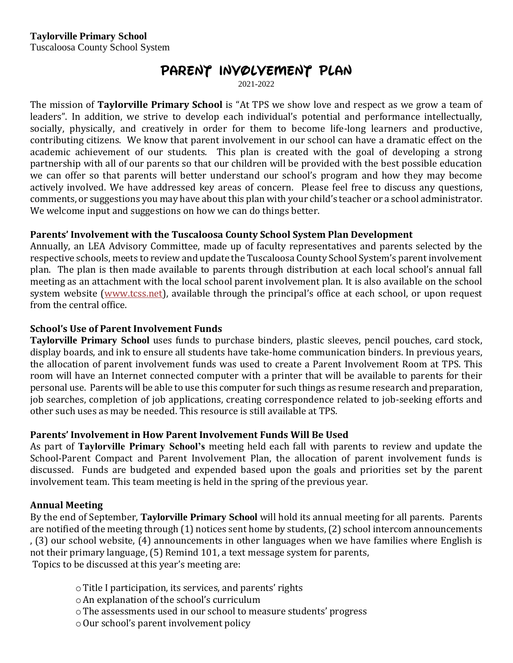# **Parent Involvement Plan**

2021-2022

The mission of **Taylorville Primary School** is "At TPS we show love and respect as we grow a team of leaders". In addition, we strive to develop each individual's potential and performance intellectually, socially, physically, and creatively in order for them to become life-long learners and productive, contributing citizens. We know that parent involvement in our school can have a dramatic effect on the academic achievement of our students. This plan is created with the goal of developing a strong partnership with all of our parents so that our children will be provided with the best possible education we can offer so that parents will better understand our school's program and how they may become actively involved. We have addressed key areas of concern. Please feel free to discuss any questions, comments, or suggestions you may have about this plan with your child's teacher or a school administrator. We welcome input and suggestions on how we can do things better.

### **Parents' Involvement with the Tuscaloosa County School System Plan Development**

Annually, an LEA Advisory Committee, made up of faculty representatives and parents selected by the respective schools, meets to review and update the Tuscaloosa County School System's parent involvement plan. The plan is then made available to parents through distribution at each local school's annual fall meeting as an attachment with the local school parent involvement plan. It is also available on the school system website [\(www.tcss.net](http://www.tuscaloosacityschools.com/)), available through the principal's office at each school, or upon request from the central office.

#### **School's Use of Parent Involvement Funds**

**Taylorville Primary School** uses funds to purchase binders, plastic sleeves, pencil pouches, card stock, display boards, and ink to ensure all students have take-home communication binders. In previous years, the allocation of parent involvement funds was used to create a Parent Involvement Room at TPS. This room will have an Internet connected computer with a printer that will be available to parents for their personal use. Parents will be able to use this computer for such things as resume research and preparation, job searches, completion of job applications, creating correspondence related to job-seeking efforts and other such uses as may be needed. This resource is still available at TPS.

#### **Parents' Involvement in How Parent Involvement Funds Will Be Used**

As part of **Taylorville Primary School's** meeting held each fall with parents to review and update the School-Parent Compact and Parent Involvement Plan, the allocation of parent involvement funds is discussed. Funds are budgeted and expended based upon the goals and priorities set by the parent involvement team. This team meeting is held in the spring of the previous year.

#### **Annual Meeting**

By the end of September, **Taylorville Primary School** will hold its annual meeting for all parents. Parents are notified of the meeting through (1) notices sent home by students, (2) school intercom announcements , (3) our school website, (4) announcements in other languages when we have families where English is not their primary language, (5) Remind 101, a text message system for parents,

Topics to be discussed at this year's meeting are:

- oTitle I participation, its services, and parents' rights
- oAn explanation of the school's curriculum
- oThe assessments used in our school to measure students' progress
- $\circ$  Our school's parent involvement policy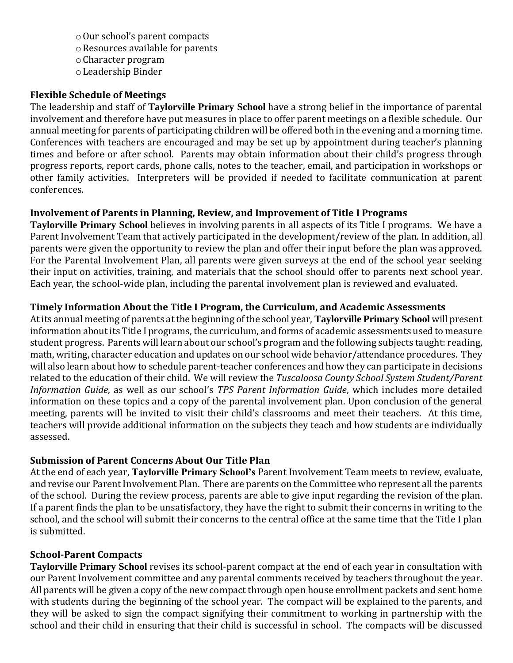- oOur school's parent compacts
- oResources available for parents
- oCharacter program
- oLeadership Binder

## **Flexible Schedule of Meetings**

The leadership and staff of **Taylorville Primary School** have a strong belief in the importance of parental involvement and therefore have put measures in place to offer parent meetings on a flexible schedule. Our annual meeting for parents of participating children will be offered both in the evening and a morning time. Conferences with teachers are encouraged and may be set up by appointment during teacher's planning times and before or after school. Parents may obtain information about their child's progress through progress reports, report cards, phone calls, notes to the teacher, email, and participation in workshops or other family activities. Interpreters will be provided if needed to facilitate communication at parent conferences.

# **Involvement of Parents in Planning, Review, and Improvement of Title I Programs**

**Taylorville Primary School** believes in involving parents in all aspects of its Title I programs. We have a Parent Involvement Team that actively participated in the development/review of the plan. In addition, all parents were given the opportunity to review the plan and offer their input before the plan was approved. For the Parental Involvement Plan, all parents were given surveys at the end of the school year seeking their input on activities, training, and materials that the school should offer to parents next school year. Each year, the school-wide plan, including the parental involvement plan is reviewed and evaluated.

### **Timely Information About the Title I Program, the Curriculum, and Academic Assessments**

At its annual meeting of parents at the beginning of the school year, **Taylorville Primary School** will present information about its Title I programs, the curriculum, and forms of academic assessments used to measure student progress. Parents will learn about our school's program and the following subjects taught: reading, math, writing, character education and updates on our school wide behavior/attendance procedures. They will also learn about how to schedule parent-teacher conferences and how they can participate in decisions related to the education of their child. We will review the *Tuscaloosa County School System Student/Parent Information Guide*, as well as our school's *TPS Parent Information Guide*, which includes more detailed information on these topics and a copy of the parental involvement plan. Upon conclusion of the general meeting, parents will be invited to visit their child's classrooms and meet their teachers. At this time, teachers will provide additional information on the subjects they teach and how students are individually assessed.

# **Submission of Parent Concerns About Our Title Plan**

At the end of each year, **Taylorville Primary School's** Parent Involvement Team meets to review, evaluate, and revise our Parent Involvement Plan. There are parents on the Committee who represent all the parents of the school. During the review process, parents are able to give input regarding the revision of the plan. If a parent finds the plan to be unsatisfactory, they have the right to submit their concerns in writing to the school, and the school will submit their concerns to the central office at the same time that the Title I plan is submitted.

# **School-Parent Compacts**

**Taylorville Primary School** revises its school-parent compact at the end of each year in consultation with our Parent Involvement committee and any parental comments received by teachers throughout the year. All parents will be given a copy of the new compact through open house enrollment packets and sent home with students during the beginning of the school year. The compact will be explained to the parents, and they will be asked to sign the compact signifying their commitment to working in partnership with the school and their child in ensuring that their child is successful in school. The compacts will be discussed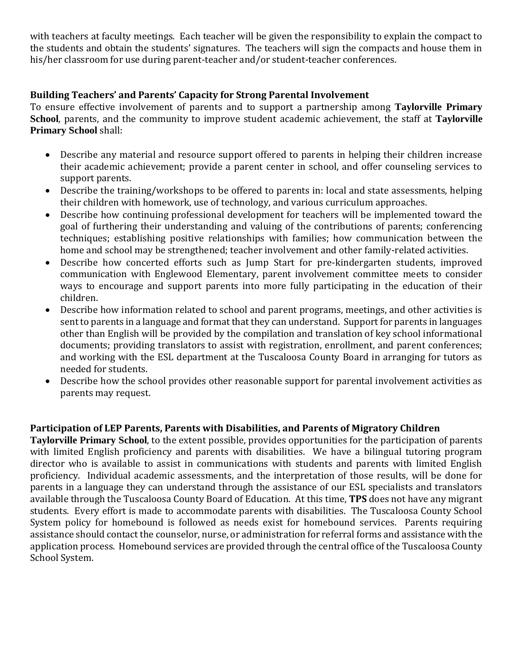with teachers at faculty meetings. Each teacher will be given the responsibility to explain the compact to the students and obtain the students' signatures. The teachers will sign the compacts and house them in his/her classroom for use during parent-teacher and/or student-teacher conferences.

# **Building Teachers' and Parents' Capacity for Strong Parental Involvement**

To ensure effective involvement of parents and to support a partnership among **Taylorville Primary School**, parents, and the community to improve student academic achievement, the staff at **Taylorville Primary School** shall:

- Describe any material and resource support offered to parents in helping their children increase their academic achievement; provide a parent center in school, and offer counseling services to support parents.
- Describe the training/workshops to be offered to parents in: local and state assessments, helping their children with homework, use of technology, and various curriculum approaches.
- Describe how continuing professional development for teachers will be implemented toward the goal of furthering their understanding and valuing of the contributions of parents; conferencing techniques; establishing positive relationships with families; how communication between the home and school may be strengthened; teacher involvement and other family-related activities.
- Describe how concerted efforts such as Jump Start for pre-kindergarten students, improved communication with Englewood Elementary, parent involvement committee meets to consider ways to encourage and support parents into more fully participating in the education of their children.
- Describe how information related to school and parent programs, meetings, and other activities is sent to parents in a language and format that they can understand. Support for parents in languages other than English will be provided by the compilation and translation of key school informational documents; providing translators to assist with registration, enrollment, and parent conferences; and working with the ESL department at the Tuscaloosa County Board in arranging for tutors as needed for students.
- Describe how the school provides other reasonable support for parental involvement activities as parents may request.

#### **Participation of LEP Parents, Parents with Disabilities, and Parents of Migratory Children**

**Taylorville Primary School**, to the extent possible, provides opportunities for the participation of parents with limited English proficiency and parents with disabilities. We have a bilingual tutoring program director who is available to assist in communications with students and parents with limited English proficiency. Individual academic assessments, and the interpretation of those results, will be done for parents in a language they can understand through the assistance of our ESL specialists and translators available through the Tuscaloosa County Board of Education. At this time, **TPS** does not have any migrant students. Every effort is made to accommodate parents with disabilities. The Tuscaloosa County School System policy for homebound is followed as needs exist for homebound services. Parents requiring assistance should contact the counselor, nurse, or administration for referral forms and assistance with the application process. Homebound services are provided through the central office of the Tuscaloosa County School System.